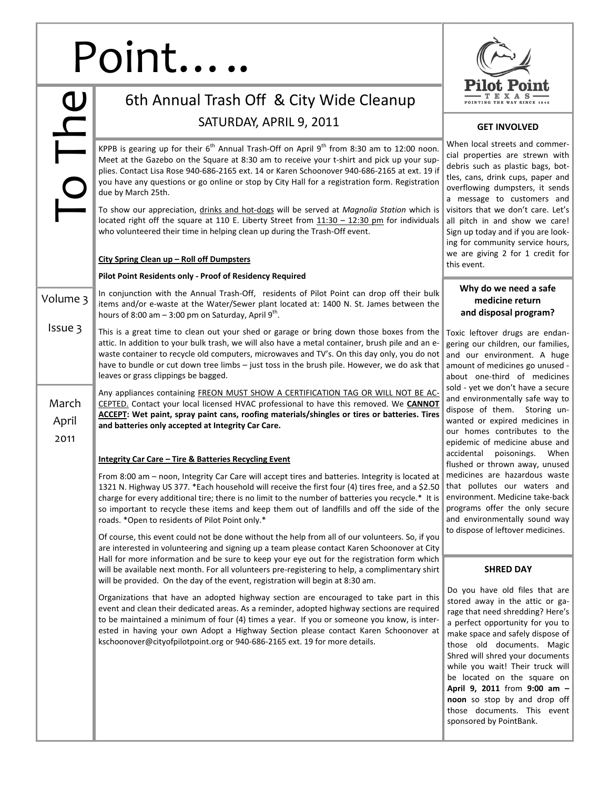## Point.

|                        | 6th Annual Trash Off & City Wide Cleanup                                                                                                                                                                                                                                                                                                                                                                                                                                                                                                   |                                                                                                                                                                                   |
|------------------------|--------------------------------------------------------------------------------------------------------------------------------------------------------------------------------------------------------------------------------------------------------------------------------------------------------------------------------------------------------------------------------------------------------------------------------------------------------------------------------------------------------------------------------------------|-----------------------------------------------------------------------------------------------------------------------------------------------------------------------------------|
|                        | SATURDAY, APRIL 9, 2011                                                                                                                                                                                                                                                                                                                                                                                                                                                                                                                    | <b>GE</b>                                                                                                                                                                         |
| The                    | KPPB is gearing up for their $6^{th}$ Annual Trash-Off on April $9^{th}$ from 8:30 am to 12:00 noon.<br>Meet at the Gazebo on the Square at 8:30 am to receive your t-shirt and pick up your sup-<br>plies. Contact Lisa Rose 940-686-2165 ext. 14 or Karen Schoonover 940-686-2165 at ext. 19 if<br>you have any questions or go online or stop by City Hall for a registration form. Registration<br>due by March 25th.                                                                                                                  | When local<br>cial proper<br>debris such<br>tles, cans,<br>overflowing<br>a message                                                                                               |
|                        | To show our appreciation, drinks and hot-dogs will be served at Magnolia Station which is<br>located right off the square at 110 E. Liberty Street from $11:30 - 12:30$ pm for individuals<br>who volunteered their time in helping clean up during the Trash-Off event.                                                                                                                                                                                                                                                                   | visitors tha<br>all pitch in<br>Sign up tod<br>ing for com                                                                                                                        |
|                        | City Spring Clean up - Roll off Dumpsters                                                                                                                                                                                                                                                                                                                                                                                                                                                                                                  | we are giv<br>this event.                                                                                                                                                         |
|                        | Pilot Point Residents only - Proof of Residency Required                                                                                                                                                                                                                                                                                                                                                                                                                                                                                   |                                                                                                                                                                                   |
| Volume 3               | In conjunction with the Annual Trash-Off, residents of Pilot Point can drop off their bulk<br>items and/or e-waste at the Water/Sewer plant located at: 1400 N. St. James between the<br>hours of 8:00 am $-$ 3:00 pm on Saturday, April 9 <sup>th</sup> .                                                                                                                                                                                                                                                                                 | Why de<br>me<br>and dis                                                                                                                                                           |
| Issue 3                | This is a great time to clean out your shed or garage or bring down those boxes from the<br>attic. In addition to your bulk trash, we will also have a metal container, brush pile and an e-<br>waste container to recycle old computers, microwaves and TV's. On this day only, you do not<br>have to bundle or cut down tree limbs - just toss in the brush pile. However, we do ask that<br>leaves or grass clippings be bagged.                                                                                                        | Toxic lefto<br>gering our<br>and our e<br>amount of<br>about one                                                                                                                  |
| March<br>April<br>2011 | Any appliances containing FREON MUST SHOW A CERTIFICATION TAG OR WILL NOT BE AC-<br>CEPTED. Contact your local licensed HVAC professional to have this removed. We CANNOT<br><b>ACCEPT:</b> Wet paint, spray paint cans, roofing materials/shingles or tires or batteries. Tires<br>and batteries only accepted at Integrity Car Care.                                                                                                                                                                                                     | sold - yet w<br>and enviror<br>dispose of<br>wanted or<br>our homes<br>epidemic o                                                                                                 |
|                        | <b>Integrity Car Care - Tire &amp; Batteries Recycling Event</b>                                                                                                                                                                                                                                                                                                                                                                                                                                                                           | accidental<br>flushed or                                                                                                                                                          |
|                        | From 8:00 am - noon, Integrity Car Care will accept tires and batteries. Integrity is located at<br>1321 N. Highway US 377. *Each household will receive the first four (4) tires free, and a \$2.50<br>charge for every additional tire; there is no limit to the number of batteries you recycle.* It is<br>so important to recycle these items and keep them out of landfills and off the side of the<br>roads. * Open to residents of Pilot Point only.*                                                                               | medicines<br>that pollut<br>environmer<br>programs o<br>and enviro<br>to dispose o                                                                                                |
|                        | Of course, this event could not be done without the help from all of our volunteers. So, if you<br>are interested in volunteering and signing up a team please contact Karen Schoonover at City<br>Hall for more information and be sure to keep your eye out for the registration form which<br>will be available next month. For all volunteers pre-registering to help, a complimentary shirt                                                                                                                                           | S                                                                                                                                                                                 |
|                        | will be provided. On the day of the event, registration will begin at 8:30 am.<br>Organizations that have an adopted highway section are encouraged to take part in this<br>event and clean their dedicated areas. As a reminder, adopted highway sections are required<br>to be maintained a minimum of four (4) times a year. If you or someone you know, is inter-<br>ested in having your own Adopt a Highway Section please contact Karen Schoonover at<br>kschoonover@cityofpilotpoint.org or 940-686-2165 ext. 19 for more details. | Do you ha<br>stored awa<br>rage that n<br>a perfect o<br>make space<br>those old<br>Shred will s<br>while you<br>be located<br>April 9, 20<br>noon so s<br>those doc<br>sponsored |



## **GET INVOLVED**

streets and commerties are strewn with as plastic bags, botdrink cups, paper and dumpsters, it sends to customers and t we don't care. Let's and show we care! ay and if you are lookmunity service hours, ing 2 for 1 credit for

## **Why do we need a safe medicine return and disposal program?**

ver drugs are endanchildren, our families, environment. A huge medicines go unused e-third of medicines e don't have a secure nmentally safe way to them. Storing unexpired medicines in contributes to the f medicine abuse and poisonings. When thrown away, unused are hazardous waste tes our waters and nt. Medicine take-back offer the only secure nmentally sound way of leftover medicines.

## **SHRED DAY**

ave old files that are ay in the attic or gaeed shredding? Here's pportunity for you to e and safely dispose of documents. Magic hred your documents wait! Their truck will on the square on **April 9, 2011** from **9:00 am –** top by and drop off cuments. This event by PointBank.